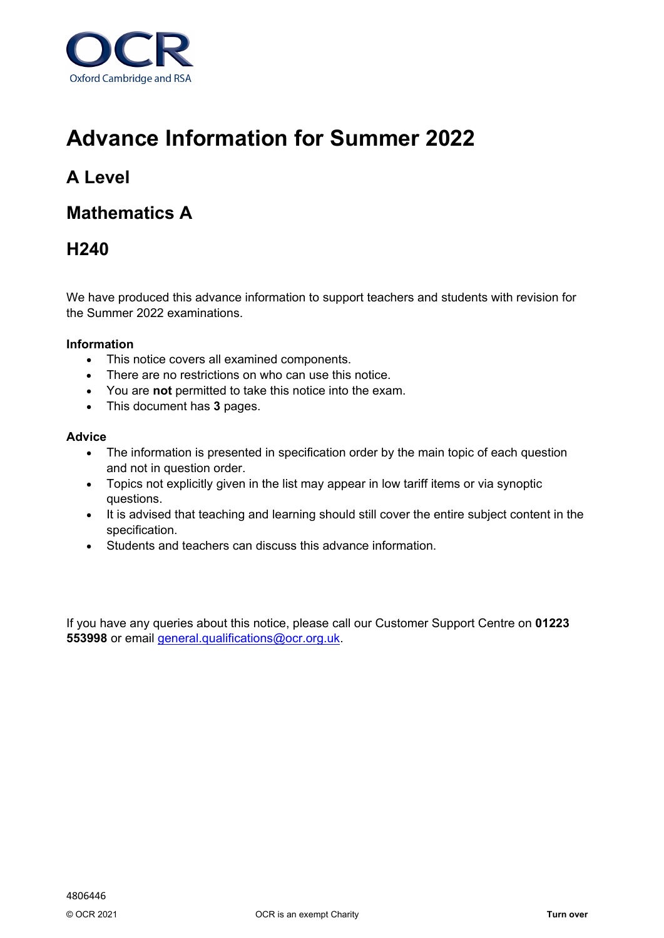

# **Advance Information for Summer 2022**

## **A Level**

### **Mathematics A**

### **H240**

We have produced this advance information to support teachers and students with revision for the Summer 2022 examinations.

#### **Information**

- This notice covers all examined components.
- There are no restrictions on who can use this notice.
- You are **not** permitted to take this notice into the exam.
- This document has **3** pages.

#### **Advice**

- The information is presented in specification order by the main topic of each question and not in question order.
- Topics not explicitly given in the list may appear in low tariff items or via synoptic questions.
- It is advised that teaching and learning should still cover the entire subject content in the specification.
- Students and teachers can discuss this advance information.

If you have any queries about this notice, please call our Customer Support Centre on **01223 553998** or email [general.qualifications@ocr.org.uk.](mailto:general.qualifications@ocr.org.uk)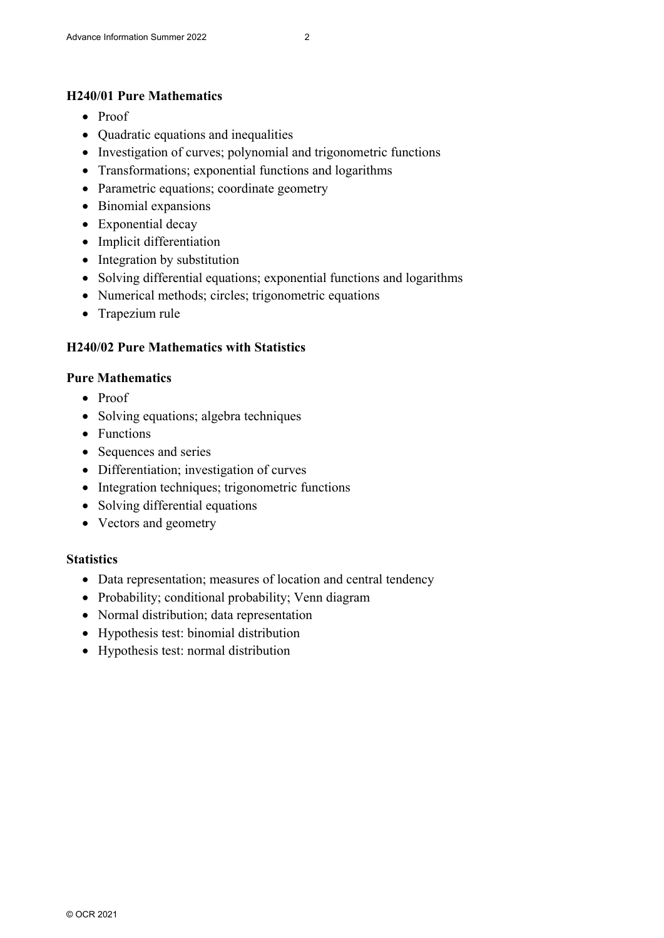#### **H240/01 Pure Mathematics**

- Proof
- Quadratic equations and inequalities
- Investigation of curves; polynomial and trigonometric functions
- Transformations; exponential functions and logarithms
- Parametric equations; coordinate geometry
- Binomial expansions
- Exponential decay
- Implicit differentiation
- Integration by substitution
- Solving differential equations; exponential functions and logarithms
- Numerical methods; circles; trigonometric equations
- Trapezium rule

### **H240/02 Pure Mathematics with Statistics**

#### **Pure Mathematics**

- Proof
- Solving equations; algebra techniques
- Functions
- Sequences and series
- Differentiation; investigation of curves
- Integration techniques; trigonometric functions
- Solving differential equations
- Vectors and geometry

#### **Statistics**

- Data representation; measures of location and central tendency
- Probability; conditional probability; Venn diagram
- Normal distribution; data representation
- Hypothesis test: binomial distribution
- Hypothesis test: normal distribution